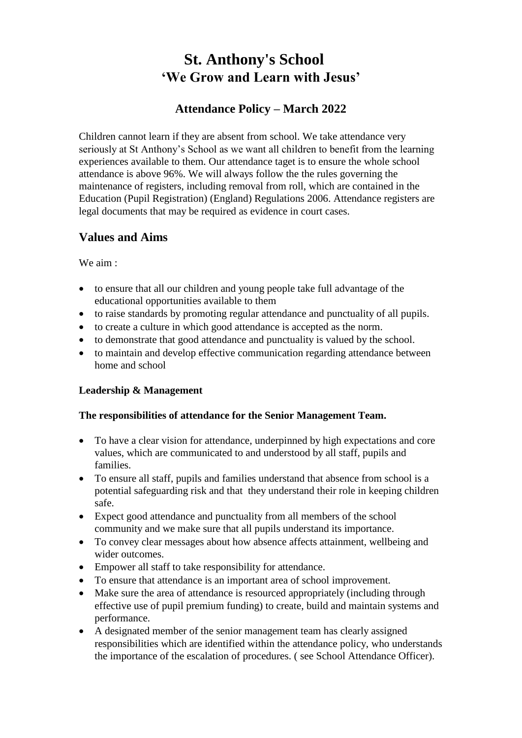# **St. Anthony's School 'We Grow and Learn with Jesus'**

# **Attendance Policy – March 2022**

Children cannot learn if they are absent from school. We take attendance very seriously at St Anthony's School as we want all children to benefit from the learning experiences available to them. Our attendance taget is to ensure the whole school attendance is above 96%. We will always follow the the rules governing the maintenance of registers, including removal from roll, which are contained in the Education (Pupil Registration) (England) Regulations 2006. Attendance registers are legal documents that may be required as evidence in court cases.

# **Values and Aims**

We aim :

- to ensure that all our children and young people take full advantage of the educational opportunities available to them
- to raise standards by promoting regular attendance and punctuality of all pupils.
- to create a culture in which good attendance is accepted as the norm.
- to demonstrate that good attendance and punctuality is valued by the school.
- to maintain and develop effective communication regarding attendance between home and school

# **Leadership & Management**

#### **The responsibilities of attendance for the Senior Management Team.**

- To have a clear vision for attendance, underpinned by high expectations and core values, which are communicated to and understood by all staff, pupils and families.
- To ensure all staff, pupils and families understand that absence from school is a potential safeguarding risk and that they understand their role in keeping children safe.
- Expect good attendance and punctuality from all members of the school community and we make sure that all pupils understand its importance.
- To convey clear messages about how absence affects attainment, wellbeing and wider outcomes.
- Empower all staff to take responsibility for attendance.
- To ensure that attendance is an important area of school improvement.
- Make sure the area of attendance is resourced appropriately (including through effective use of pupil premium funding) to create, build and maintain systems and performance.
- A designated member of the senior management team has clearly assigned responsibilities which are identified within the attendance policy, who understands the importance of the escalation of procedures. ( see School Attendance Officer).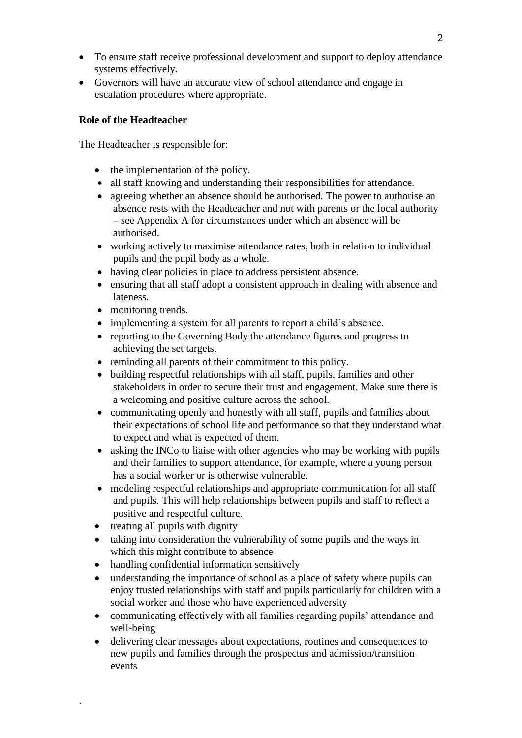- To ensure staff receive professional development and support to deploy attendance systems effectively.
- Governors will have an accurate view of school attendance and engage in escalation procedures where appropriate.

#### **Role of the Headteacher**

The Headteacher is responsible for:

- the implementation of the policy.
- all staff knowing and understanding their responsibilities for attendance.
- agreeing whether an absence should be authorised. The power to authorise an absence rests with the Headteacher and not with parents or the local authority – see Appendix A for circumstances under which an absence will be authorised.
- working actively to maximise attendance rates, both in relation to individual pupils and the pupil body as a whole.
- having clear policies in place to address persistent absence.
- ensuring that all staff adopt a consistent approach in dealing with absence and lateness.
- monitoring trends.
- implementing a system for all parents to report a child's absence.
- reporting to the Governing Body the attendance figures and progress to achieving the set targets.
- reminding all parents of their commitment to this policy.
- building respectful relationships with all staff, pupils, families and other stakeholders in order to secure their trust and engagement. Make sure there is a welcoming and positive culture across the school.
- communicating openly and honestly with all staff, pupils and families about their expectations of school life and performance so that they understand what to expect and what is expected of them.
- asking the INCo to liaise with other agencies who may be working with pupils and their families to support attendance, for example, where a young person has a social worker or is otherwise vulnerable.
- modeling respectful relationships and appropriate communication for all staff and pupils. This will help relationships between pupils and staff to reflect a positive and respectful culture.
- treating all pupils with dignity

.

- taking into consideration the vulnerability of some pupils and the ways in which this might contribute to absence
- handling confidential information sensitively
- understanding the importance of school as a place of safety where pupils can enjoy trusted relationships with staff and pupils particularly for children with a social worker and those who have experienced adversity
- communicating effectively with all families regarding pupils' attendance and well-being
- delivering clear messages about expectations, routines and consequences to new pupils and families through the prospectus and admission/transition events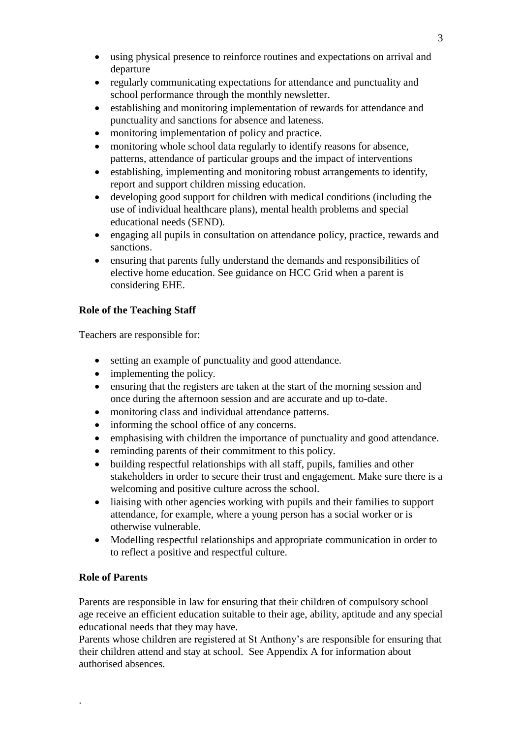- using physical presence to reinforce routines and expectations on arrival and departure
- regularly communicating expectations for attendance and punctuality and school performance through the monthly newsletter.
- establishing and monitoring implementation of rewards for attendance and punctuality and sanctions for absence and lateness.
- monitoring implementation of policy and practice.
- monitoring whole school data regularly to identify reasons for absence, patterns, attendance of particular groups and the impact of interventions
- establishing, implementing and monitoring robust arrangements to identify, report and support children missing education.
- developing good support for children with medical conditions (including the use of individual healthcare plans), mental health problems and special educational needs (SEND).
- engaging all pupils in consultation on attendance policy, practice, rewards and sanctions.
- ensuring that parents fully understand the demands and responsibilities of elective home education. See guidance on HCC Grid when a parent is considering EHE.

## **Role of the Teaching Staff**

Teachers are responsible for:

- setting an example of punctuality and good attendance.
- implementing the policy.
- ensuring that the registers are taken at the start of the morning session and once during the afternoon session and are accurate and up to-date.
- monitoring class and individual attendance patterns.
- informing the school office of any concerns.
- emphasising with children the importance of punctuality and good attendance.
- reminding parents of their commitment to this policy.
- building respectful relationships with all staff, pupils, families and other stakeholders in order to secure their trust and engagement. Make sure there is a welcoming and positive culture across the school.
- liaising with other agencies working with pupils and their families to support attendance, for example, where a young person has a social worker or is otherwise vulnerable.
- Modelling respectful relationships and appropriate communication in order to to reflect a positive and respectful culture.

#### **Role of Parents**

.

Parents are responsible in law for ensuring that their children of compulsory school age receive an efficient education suitable to their age, ability, aptitude and any special educational needs that they may have.

Parents whose children are registered at St Anthony's are responsible for ensuring that their children attend and stay at school. See Appendix A for information about authorised absences.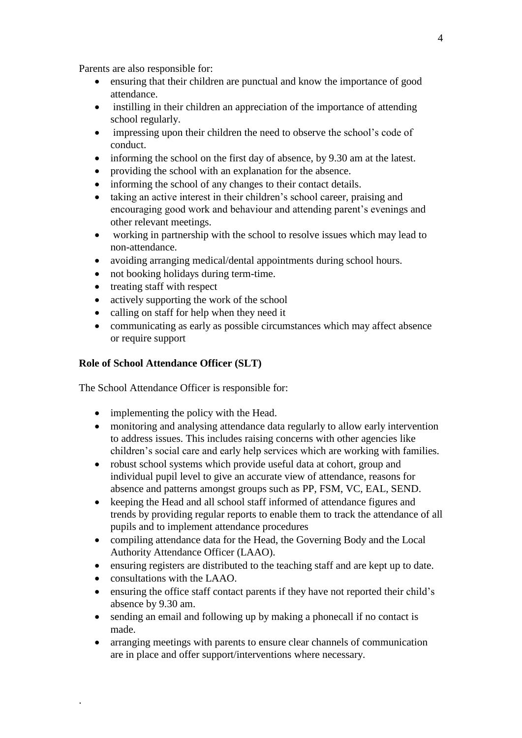Parents are also responsible for:

- ensuring that their children are punctual and know the importance of good attendance.
- instilling in their children an appreciation of the importance of attending school regularly.
- impressing upon their children the need to observe the school's code of conduct.
- informing the school on the first day of absence, by 9.30 am at the latest.
- providing the school with an explanation for the absence.
- informing the school of any changes to their contact details.
- taking an active interest in their children's school career, praising and encouraging good work and behaviour and attending parent's evenings and other relevant meetings.
- working in partnership with the school to resolve issues which may lead to non-attendance.
- avoiding arranging medical/dental appointments during school hours.
- not booking holidays during term-time.
- treating staff with respect
- actively supporting the work of the school
- calling on staff for help when they need it
- communicating as early as possible circumstances which may affect absence or require support

#### **Role of School Attendance Officer (SLT)**

The School Attendance Officer is responsible for:

- implementing the policy with the Head.
- monitoring and analysing attendance data regularly to allow early intervention to address issues. This includes raising concerns with other agencies like children's social care and early help services which are working with families.
- robust school systems which provide useful data at cohort, group and individual pupil level to give an accurate view of attendance, reasons for absence and patterns amongst groups such as PP, FSM, VC, EAL, SEND.
- keeping the Head and all school staff informed of attendance figures and trends by providing regular reports to enable them to track the attendance of all pupils and to implement attendance procedures
- compiling attendance data for the Head, the Governing Body and the Local Authority Attendance Officer (LAAO).
- ensuring registers are distributed to the teaching staff and are kept up to date.
- consultations with the LAAO.

.

- ensuring the office staff contact parents if they have not reported their child's absence by 9.30 am.
- sending an email and following up by making a phonecall if no contact is made.
- arranging meetings with parents to ensure clear channels of communication are in place and offer support/interventions where necessary.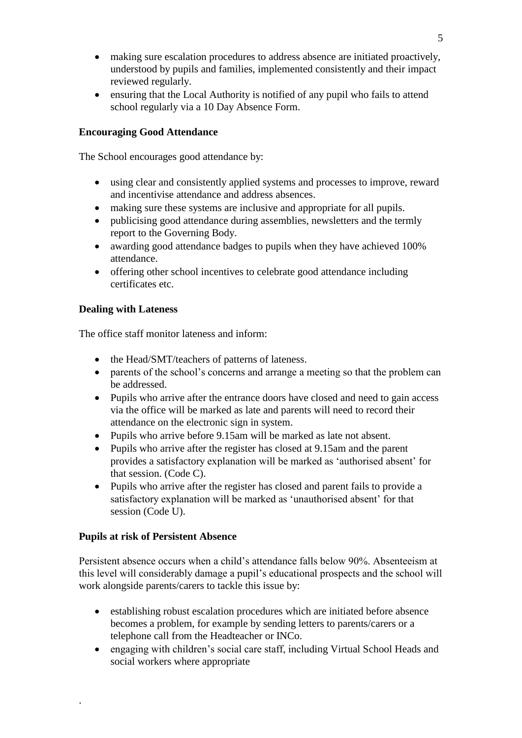- making sure escalation procedures to address absence are initiated proactively, understood by pupils and families, implemented consistently and their impact reviewed regularly.
- ensuring that the Local Authority is notified of any pupil who fails to attend school regularly via a 10 Day Absence Form.

#### **Encouraging Good Attendance**

The School encourages good attendance by:

- using clear and consistently applied systems and processes to improve, reward and incentivise attendance and address absences.
- making sure these systems are inclusive and appropriate for all pupils.
- publicising good attendance during assemblies, newsletters and the termly report to the Governing Body.
- awarding good attendance badges to pupils when they have achieved 100% attendance.
- offering other school incentives to celebrate good attendance including certificates etc.

## **Dealing with Lateness**

The office staff monitor lateness and inform:

- the Head/SMT/teachers of patterns of lateness.
- parents of the school's concerns and arrange a meeting so that the problem can be addressed.
- Pupils who arrive after the entrance doors have closed and need to gain access via the office will be marked as late and parents will need to record their attendance on the electronic sign in system.
- Pupils who arrive before 9.15am will be marked as late not absent.
- Pupils who arrive after the register has closed at 9.15am and the parent provides a satisfactory explanation will be marked as 'authorised absent' for that session. (Code C).
- Pupils who arrive after the register has closed and parent fails to provide a satisfactory explanation will be marked as 'unauthorised absent' for that session (Code U).

#### **Pupils at risk of Persistent Absence**

.

Persistent absence occurs when a child's attendance falls below 90%. Absenteeism at this level will considerably damage a pupil's educational prospects and the school will work alongside parents/carers to tackle this issue by:

- establishing robust escalation procedures which are initiated before absence becomes a problem, for example by sending letters to parents/carers or a telephone call from the Headteacher or INCo.
- engaging with children's social care staff, including Virtual School Heads and social workers where appropriate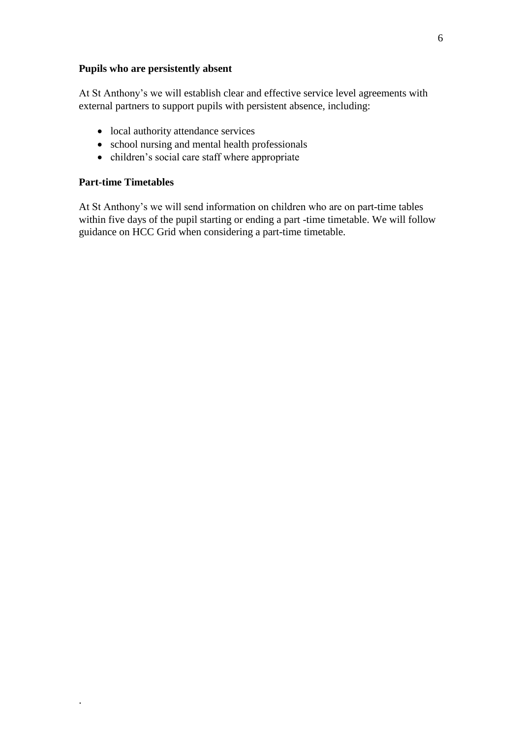#### **Pupils who are persistently absent**

At St Anthony's we will establish clear and effective service level agreements with external partners to support pupils with persistent absence, including:

- local authority attendance services
- school nursing and mental health professionals
- children's social care staff where appropriate

## **Part-time Timetables**

.

At St Anthony's we will send information on children who are on part-time tables within five days of the pupil starting or ending a part -time timetable. We will follow guidance on HCC Grid when considering a part-time timetable.